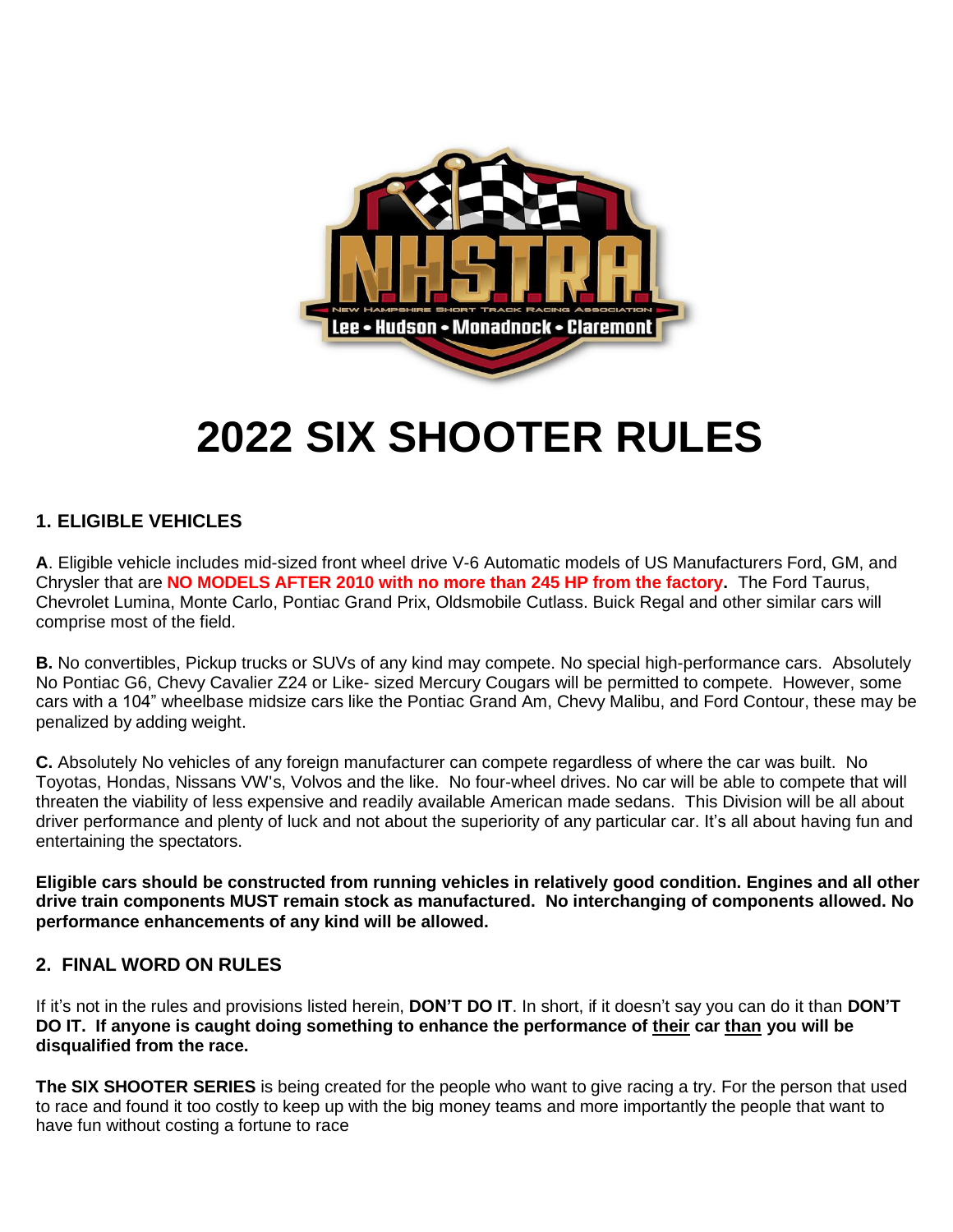

# **2022 SIX SHOOTER RULES**

# **1. ELIGIBLE VEHICLES**

**A**. Eligible vehicle includes mid-sized front wheel drive V-6 Automatic models of US Manufacturers Ford, GM, and Chrysler that are **NO MODELS AFTER 2010 with no more than 245 HP from the factory.** The Ford Taurus, Chevrolet Lumina, Monte Carlo, Pontiac Grand Prix, Oldsmobile Cutlass. Buick Regal and other similar cars will comprise most of the field.

**B.** No convertibles, Pickup trucks or SUVs of any kind may compete. No special high-performance cars. Absolutely No Pontiac G6, Chevy Cavalier Z24 or Like- sized Mercury Cougars will be permitted to compete. However, some cars with a 104" wheelbase midsize cars like the Pontiac Grand Am, Chevy Malibu, and Ford Contour, these may be penalized by adding weight.

**C.** Absolutely No vehicles of any foreign manufacturer can compete regardless of where the car was built. No Toyotas, Hondas, Nissans VW's, Volvos and the like. No four-wheel drives. No car will be able to compete that will threaten the viability of less expensive and readily available American made sedans. This Division will be all about driver performance and plenty of luck and not about the superiority of any particular car. It's all about having fun and entertaining the spectators.

**Eligible cars should be constructed from running vehicles in relatively good condition. Engines and all other drive train components MUST remain stock as manufactured. No interchanging of components allowed. No performance enhancements of any kind will be allowed.**

# **2. FINAL WORD ON RULES**

If it's not in the rules and provisions listed herein, **DON'T DO IT**. In short, if it doesn't say you can do it than **DON'T DO IT. If anyone is caught doing something to enhance the performance of their car than you will be disqualified from the race.**

**The SIX SHOOTER SERIES** is being created for the people who want to give racing a try. For the person that used to race and found it too costly to keep up with the big money teams and more importantly the people that want to have fun without costing a fortune to race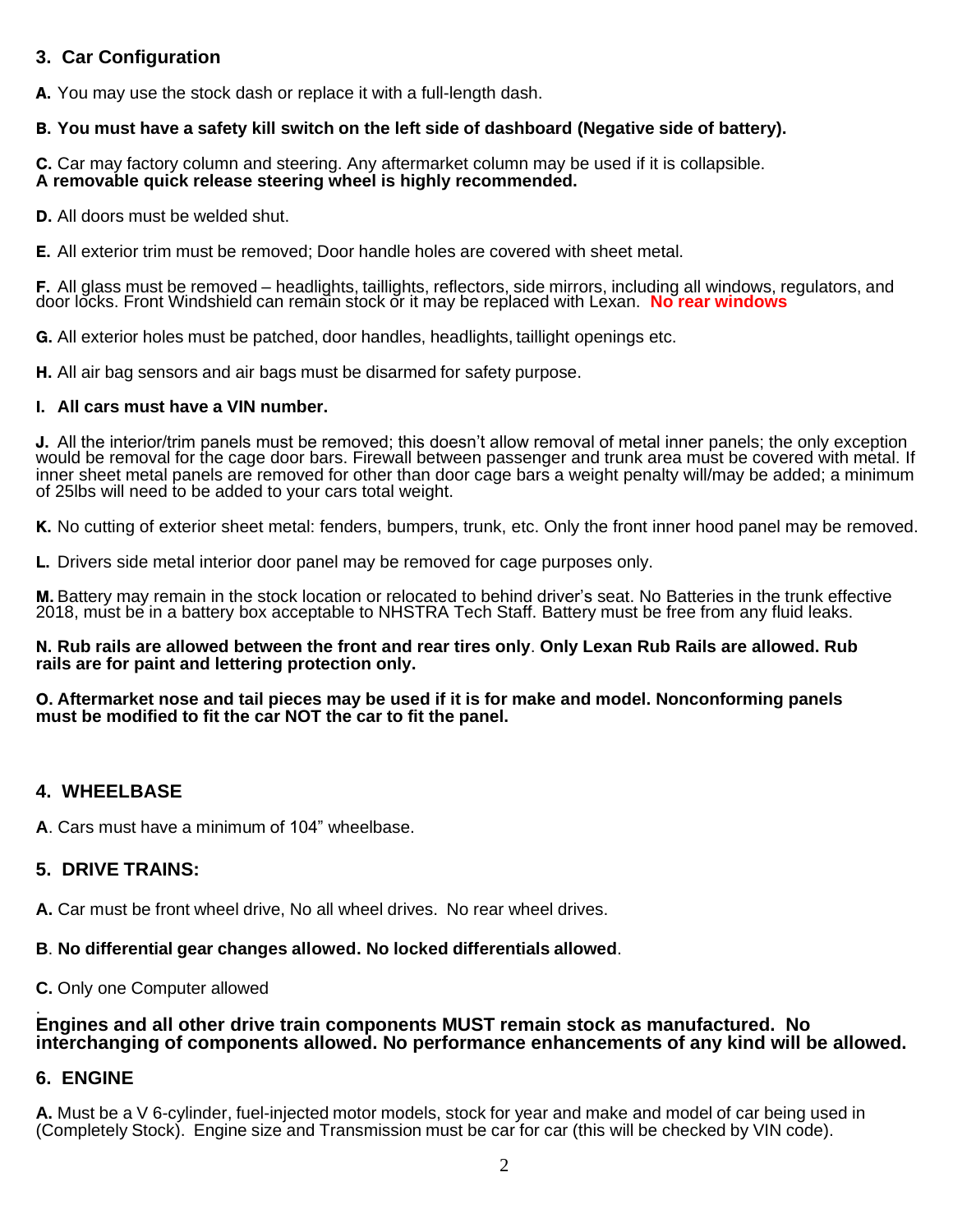# **3. Car Configuration**

A. You may use the stock dash or replace it with a full-length dash.

#### B. **You must have a safety kill switch on the left side of dashboard (Negative side of battery).**

C. Car may factory column and steering. Any aftermarket column may be used if it is collapsible. **A removable quick release steering wheel is highly recommended.**

D. All doors must be welded shut.

E. All exterior trim must be removed; Door handle holes are covered with sheet metal.

F. All glass must be removed – headlights, taillights, reflectors, side mirrors, including all windows, regulators, and door locks. Front Windshield can remain stock or it may be replaced with Lexan. No rear windows

G. All exterior holes must be patched, door handles, headlights, taillight openings etc.

H. All air bag sensors and air bags must be disarmed for safety purpose.

#### I. **All cars must have a VIN number.**

J. All the interior/trim panels must be removed; this doesn't allow removal of metal inner panels; the only exception would be removal for the cage door bars. Firewall between passenger and trunk area must be covered with metal. If inner sheet metal panels are removed for other than door cage bars a weight penalty will/may be added; a minimum of 25lbs will need to be added to your cars total weight.

K. No cutting of exterior sheet metal: fenders, bumpers, trunk, etc. Only the front inner hood panel may be removed.

L. Drivers side metal interior door panel may be removed for cage purposes only.

M. Battery may remain in the stock location or relocated to behind driver's seat. No Batteries in the trunk effective 2018, must be in a battery box acceptable to NHSTRA Tech Staff. Battery must be free from any fluid leaks.

#### N. **Rub rails are allowed between the front and rear tires only**. **Only Lexan Rub Rails are allowed. Rub rails are for paint and lettering protection only.**

#### O. **Aftermarket nose and tail pieces may be used if it is for make and model. Nonconforming panels must be modified to fit the car NOT the car to fit the panel.**

#### **4. WHEELBASE**

**A**. Cars must have a minimum of 104" wheelbase.

#### **5. DRIVE TRAINS:**

**A.** Car must be front wheel drive, No all wheel drives. No rear wheel drives.

#### **B**. **No differential gear changes allowed. No locked differentials allowed**.

**C.** Only one Computer allowed

#### . **Engines and all other drive train components MUST remain stock as manufactured. No interchanging of components allowed. No performance enhancements of any kind will be allowed.**

#### **6. ENGINE**

**A.** Must be a V 6-cylinder, fuel-injected motor models, stock for year and make and model of car being used in (Completely Stock). Engine size and Transmission must be car for car (this will be checked by VIN code).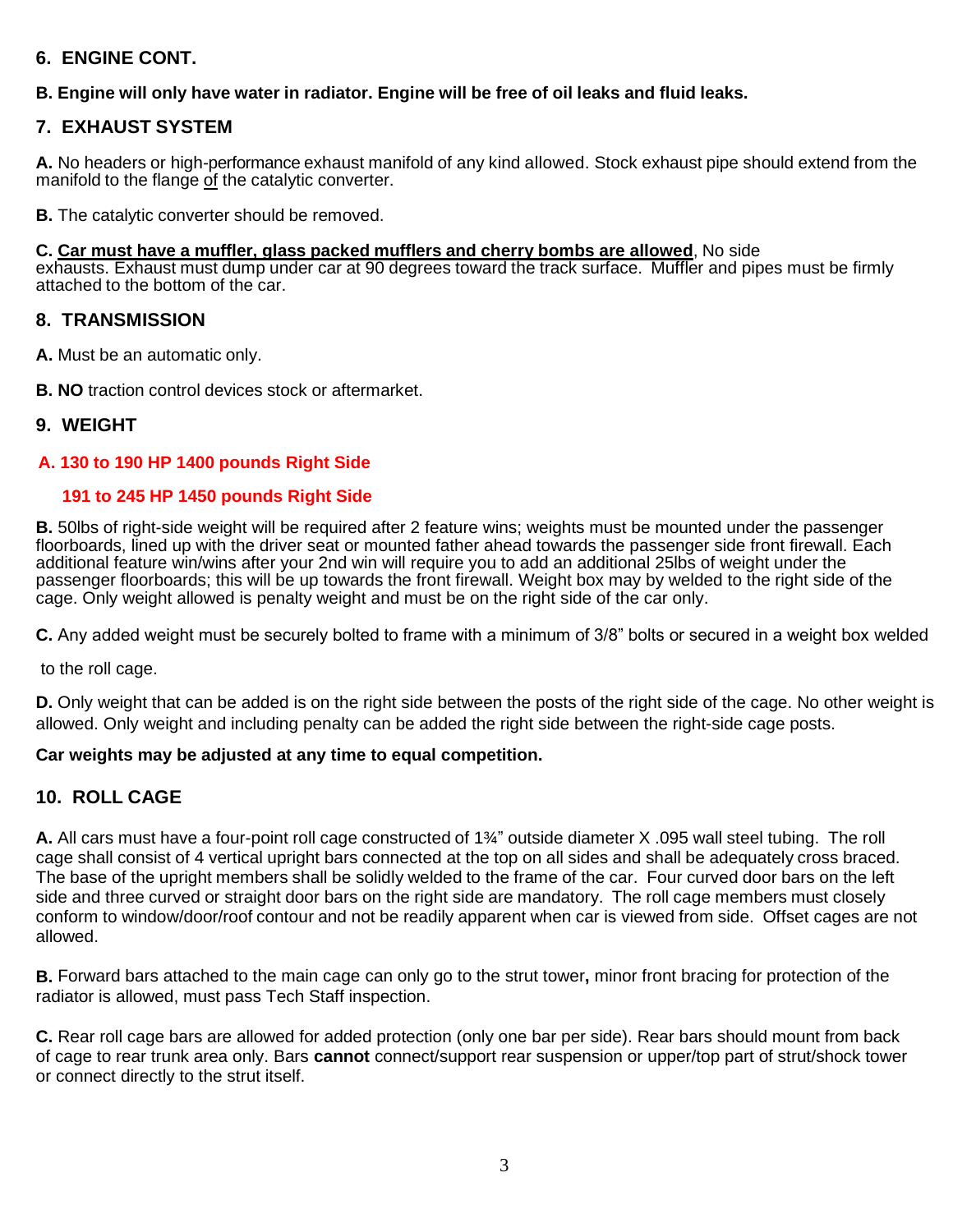# **6. ENGINE CONT.**

# **B. Engine will only have water in radiator. Engine will be free of oil leaks and fluid leaks.**

# **7. EXHAUST SYSTEM**

**A.** No headers or high-performance exhaust manifold of any kind allowed. Stock exhaust pipe should extend from the manifold to the flange of the catalytic converter.

**B.** The catalytic converter should be removed.

#### **C. Car must have a muffler, glass packed mufflers and cherry bombs are allowed**, No side

exhausts. Exhaust must dump under car at 90 degrees toward the track surface. Muffler and pipes must be firmly attached to the bottom of the car.

#### **8. TRANSMISSION**

**A.** Must be an automatic only.

**B. NO** traction control devices stock or aftermarket.

#### **9. WEIGHT**

#### **A. 130 to 190 HP 1400 pounds Right Side**

#### **191 to 245 HP 1450 pounds Right Side**

**B.** 50lbs of right-side weight will be required after 2 feature wins; weights must be mounted under the passenger floorboards, lined up with the driver seat or mounted father ahead towards the passenger side front firewall. Each additional feature win/wins after your 2nd win will require you to add an additional 25lbs of weight under the passenger floorboards; this will be up towards the front firewall. Weight box may by welded to the right side of the cage. Only weight allowed is penalty weight and must be on the right side of the car only.

**C.** Any added weight must be securely bolted to frame with a minimum of 3/8" bolts or secured in a weight box welded

to the roll cage.

**D.** Only weight that can be added is on the right side between the posts of the right side of the cage. No other weight is allowed. Only weight and including penalty can be added the right side between the right-side cage posts.

#### **Car weights may be adjusted at any time to equal competition.**

# **10. ROLL CAGE**

**A.** All cars must have a four-point roll cage constructed of 1¾" outside diameter X .095 wall steel tubing. The roll cage shall consist of 4 vertical upright bars connected at the top on all sides and shall be adequately cross braced. The base of the upright members shall be solidly welded to the frame of the car. Four curved door bars on the left side and three curved or straight door bars on the right side are mandatory. The roll cage members must closely conform to window/door/roof contour and not be readily apparent when car is viewed from side. Offset cages are not allowed.

**B.** Forward bars attached to the main cage can only go to the strut tower**,** minor front bracing for protection of the radiator is allowed, must pass Tech Staff inspection.

**C.** Rear roll cage bars are allowed for added protection (only one bar per side). Rear bars should mount from back of cage to rear trunk area only. Bars **cannot** connect/support rear suspension or upper/top part of strut/shock tower or connect directly to the strut itself.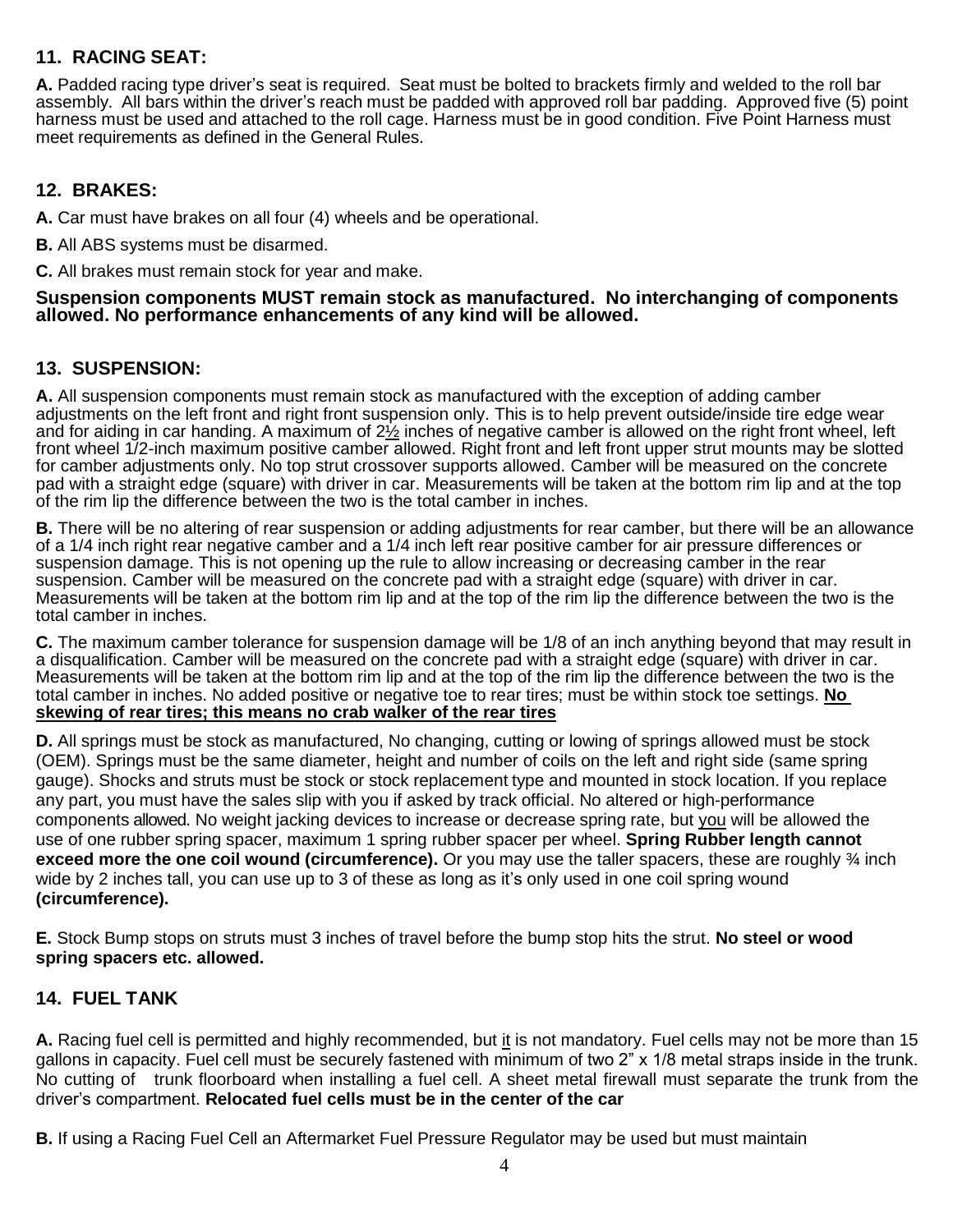# **11. RACING SEAT:**

**A.** Padded racing type driver's seat is required. Seat must be bolted to brackets firmly and welded to the roll bar assembly. All bars within the driver's reach must be padded with approved roll bar padding. Approved five (5) point harness must be used and attached to the roll cage. Harness must be in good condition. Five Point Harness must meet requirements as defined in the General Rules.

# **12. BRAKES:**

**A.** Car must have brakes on all four (4) wheels and be operational.

**B.** All ABS systems must be disarmed.

**C.** All brakes must remain stock for year and make.

#### **Suspension components MUST remain stock as manufactured. No interchanging of components allowed. No performance enhancements of any kind will be allowed.**

# **13. SUSPENSION:**

**A.** All suspension components must remain stock as manufactured with the exception of adding camber adjustments on the left front and right front suspension only. This is to help prevent outside/inside tire edge wear and for aiding in car handing. A maximum of  $2\frac{1}{2}$  inches of negative camber is allowed on the right front wheel, left front wheel 1/2-inch maximum positive camber allowed. Right front and left front upper strut mounts may be slotted for camber adjustments only. No top strut crossover supports allowed. Camber will be measured on the concrete pad with a straight edge (square) with driver in car. Measurements will be taken at the bottom rim lip and at the top of the rim lip the difference between the two is the total camber in inches.

**B.** There will be no altering of rear suspension or adding adjustments for rear camber, but there will be an allowance of a 1/4 inch right rear negative camber and a 1/4 inch left rear positive camber for air pressure differences or suspension damage. This is not opening up the rule to allow increasing or decreasing camber in the rear suspension. Camber will be measured on the concrete pad with a straight edge (square) with driver in car. Measurements will be taken at the bottom rim lip and at the top of the rim lip the difference between the two is the total camber in inches.

**C.** The maximum camber tolerance for suspension damage will be 1/8 of an inch anything beyond that may result in a disqualification. Camber will be measured on the concrete pad with a straight edge (square) with driver in car. Measurements will be taken at the bottom rim lip and at the top of the rim lip the difference between the two is the total camber in inches. No added positive or negative toe to rear tires; must be within stock toe settings. **No skewing of rear tires; this means no crab walker of the rear tires**

**D.** All springs must be stock as manufactured, No changing, cutting or lowing of springs allowed must be stock (OEM). Springs must be the same diameter, height and number of coils on the left and right side (same spring gauge). Shocks and struts must be stock or stock replacement type and mounted in stock location. If you replace any part, you must have the sales slip with you if asked by track official. No altered or high-performance components allowed. No weight jacking devices to increase or decrease spring rate, but you will be allowed the use of one rubber spring spacer, maximum 1 spring rubber spacer per wheel. **Spring Rubber length cannot exceed more the one coil wound (circumference).** Or you may use the taller spacers, these are roughly <sup>3</sup>/4 inch wide by 2 inches tall, you can use up to 3 of these as long as it's only used in one coil spring wound **(circumference).**

**E.** Stock Bump stops on struts must 3 inches of travel before the bump stop hits the strut. **No steel or wood spring spacers etc. allowed.**

# **14. FUEL TANK**

**A.** Racing fuel cell is permitted and highly recommended, but it is not mandatory. Fuel cells may not be more than 15 gallons in capacity. Fuel cell must be securely fastened with minimum of two 2" x 1/8 metal straps inside in the trunk. No cutting of trunk floorboard when installing a fuel cell. A sheet metal firewall must separate the trunk from the driver's compartment. **Relocated fuel cells must be in the center of the car**

**B.** If using a Racing Fuel Cell an Aftermarket Fuel Pressure Regulator may be used but must maintain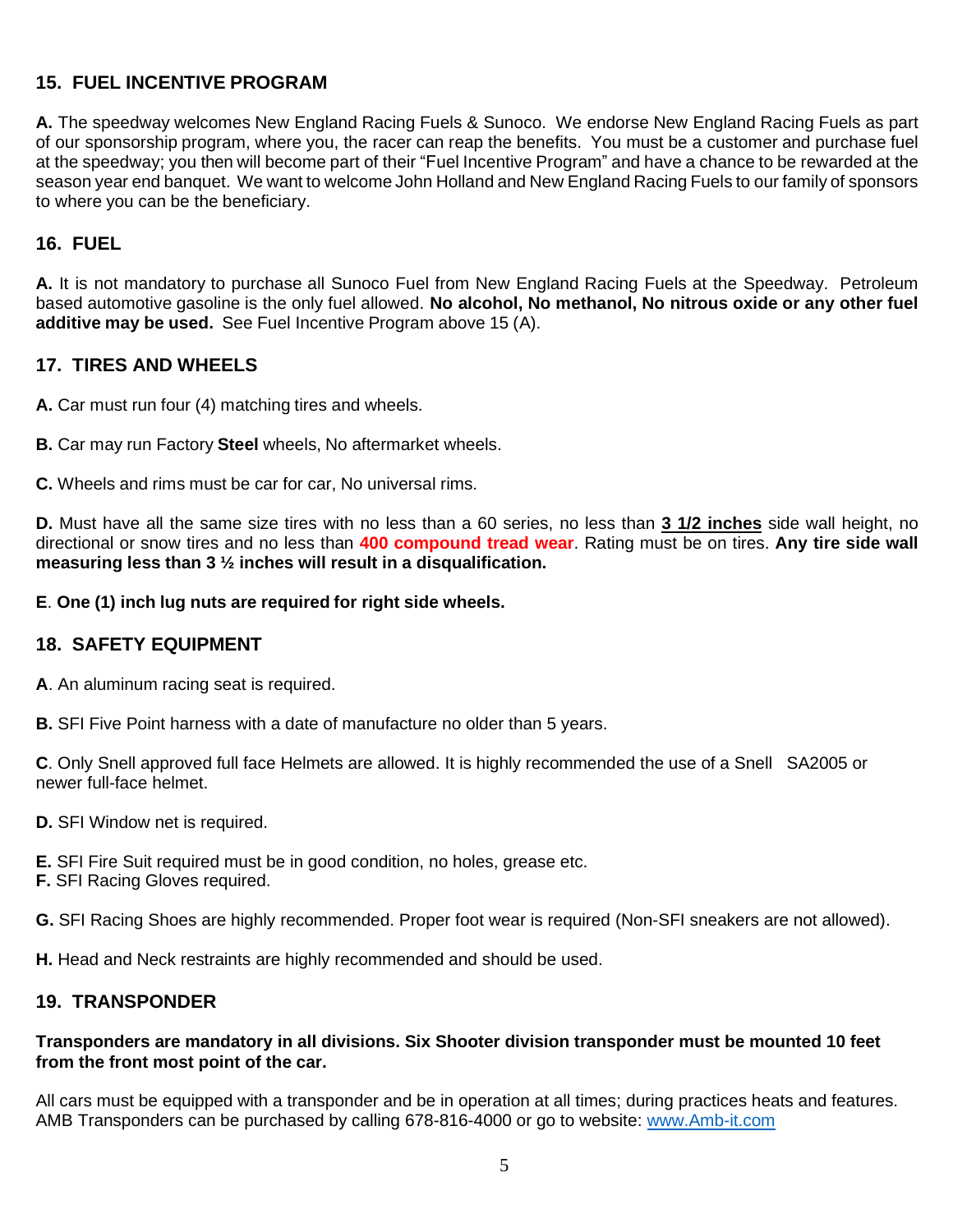# **15. FUEL INCENTIVE PROGRAM**

**A.** The speedway welcomes New England Racing Fuels & Sunoco. We endorse New England Racing Fuels as part of our sponsorship program, where you, the racer can reap the benefits. You must be a customer and purchase fuel at the speedway; you then will become part of their "Fuel Incentive Program" and have a chance to be rewarded at the season year end banquet. We want to welcome John Holland and New England Racing Fuels to our family of sponsors to where you can be the beneficiary.

# **16. FUEL**

**A.** It is not mandatory to purchase all Sunoco Fuel from New England Racing Fuels at the Speedway. Petroleum based automotive gasoline is the only fuel allowed. **No alcohol, No methanol, No nitrous oxide or any other fuel additive may be used.** See Fuel Incentive Program above 15 (A).

# **17. TIRES AND WHEELS**

**A.** Car must run four (4) matching tires and wheels.

**B.** Car may run Factory **Steel** wheels, No aftermarket wheels.

**C.** Wheels and rims must be car for car, No universal rims.

**D.** Must have all the same size tires with no less than a 60 series, no less than **3 1/2 inches** side wall height, no directional or snow tires and no less than **400 compound tread wear**. Rating must be on tires. **Any tire side wall measuring less than 3 ½ inches will result in a disqualification.**

**E**. **One (1) inch lug nuts are required for right side wheels.**

# **18. SAFETY EQUIPMENT**

**A**. An aluminum racing seat is required.

**B.** SFI Five Point harness with a date of manufacture no older than 5 years.

**C**. Only Snell approved full face Helmets are allowed. It is highly recommended the use of a Snell SA2005 or newer full-face helmet.

**D.** SFI Window net is required.

**E.** SFI Fire Suit required must be in good condition, no holes, grease etc.

**F.** SFI Racing Gloves required.

**G.** SFI Racing Shoes are highly recommended. Proper foot wear is required (Non-SFI sneakers are not allowed).

**H.** Head and Neck restraints are highly recommended and should be used.

# **19. TRANSPONDER**

#### **Transponders are mandatory in all divisions. Six Shooter division transponder must be mounted 10 feet from the front most point of the car.**

All cars must be equipped with a transponder and be in operation at all times; during practices heats and features. AMB Transponders can be purchased by calling 678-816-4000 or go to website: [www.Amb-it.com](http://www.amb-it.com/)